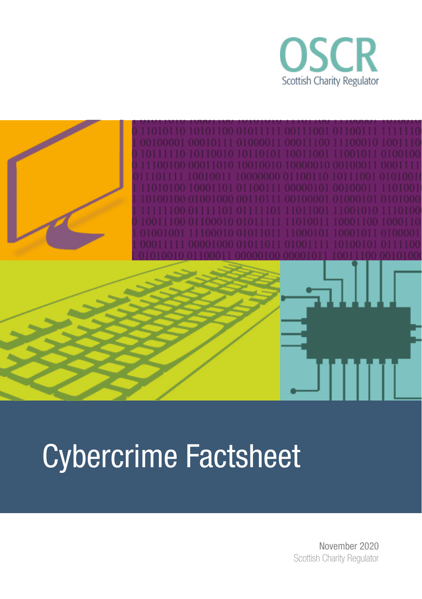



# Cybercrime Factsheet

 November 2020 Scottish Charity Regulator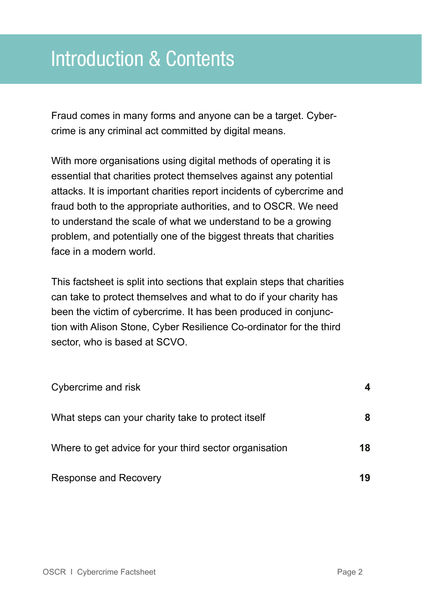# Introduction & Contents

Fraud comes in many forms and anyone can be a target. Cybercrime is any criminal act committed by digital means.

With more organisations using digital methods of operating it is essential that charities protect themselves against any potential attacks. It is important charities report incidents of cybercrime and fraud both to the appropriate authorities, and to OSCR. We need to understand the scale of what we understand to be a growing problem, and potentially one of the biggest threats that charities face in a modern world.

This factsheet is split into sections that explain steps that charities can take to protect themselves and what to do if your charity has been the victim of cybercrime. It has been produced in conjunction with Alison Stone, Cyber Resilience Co-ordinator for the third sector, who is based at SCVO.

| Cybercrime and risk                                    |    |
|--------------------------------------------------------|----|
| What steps can your charity take to protect itself     | 8  |
| Where to get advice for your third sector organisation | 18 |
| Response and Recovery                                  | 19 |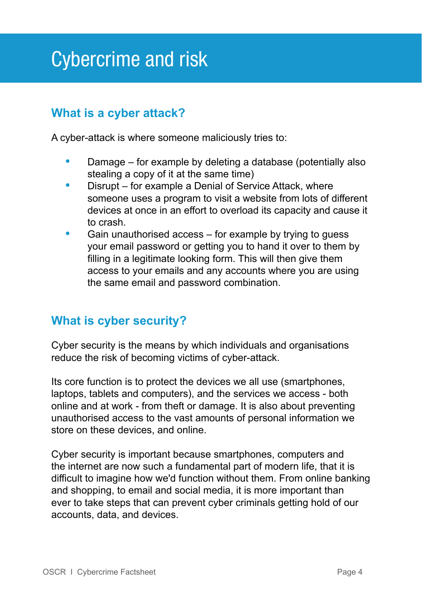# Cybercrime and risk

# **What is a cyber attack?**

A cyber-attack is where someone maliciously tries to:

- **•** Damage for example by deleting a database (potentially also stealing a copy of it at the same time)
- **•** Disrupt for example a Denial of Service Attack, where someone uses a program to visit a website from lots of different devices at once in an effort to overload its capacity and cause it to crash.
- **•** Gain unauthorised access for example by trying to guess your email password or getting you to hand it over to them by filling in a legitimate looking form. This will then give them access to your emails and any accounts where you are using the same email and password combination.

### **What is cyber security?**

Cyber security is the means by which individuals and organisations reduce the risk of becoming victims of cyber-attack.

Its core function is to protect the devices we all use (smartphones, laptops, tablets and computers), and the services we access - both online and at work - from theft or damage. It is also about preventing unauthorised access to the vast amounts of personal information we store on these devices, and online.

Cyber security is important because smartphones, computers and the internet are now such a fundamental part of modern life, that it is difficult to imagine how we'd function without them. From online banking and shopping, to email and social media, it is more important than ever to take steps that can prevent cyber criminals getting hold of our accounts, data, and devices.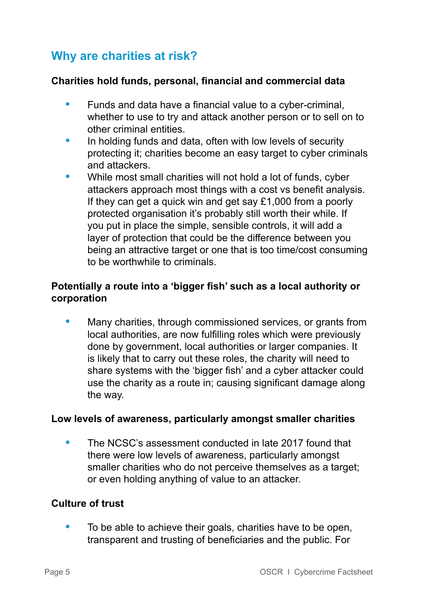# **Why are charities at risk?**

#### **Charities hold funds, personal, financial and commercial data**

- **•** Funds and data have a financial value to a cyber-criminal, whether to use to try and attack another person or to sell on to other criminal entities.
- **•** In holding funds and data, often with low levels of security protecting it; charities become an easy target to cyber criminals and attackers.
- **•** While most small charities will not hold a lot of funds, cyber attackers approach most things with a cost vs benefit analysis. If they can get a quick win and get say £1,000 from a poorly protected organisation it's probably still worth their while. If you put in place the simple, sensible controls, it will add a layer of protection that could be the difference between you being an attractive target or one that is too time/cost consuming to be worthwhile to criminals.

#### **Potentially a route into a 'bigger fish' such as a local authority or corporation**

**•** Many charities, through commissioned services, or grants from local authorities, are now fulfilling roles which were previously done by government, local authorities or larger companies. It is likely that to carry out these roles, the charity will need to share systems with the 'bigger fish' and a cyber attacker could use the charity as a route in; causing significant damage along the way.

#### **Low levels of awareness, particularly amongst smaller charities**

**•** The NCSC's assessment conducted in late 2017 found that there were low levels of awareness, particularly amongst smaller charities who do not perceive themselves as a target; or even holding anything of value to an attacker.

#### **Culture of trust**

**•** To be able to achieve their goals, charities have to be open, transparent and trusting of beneficiaries and the public. For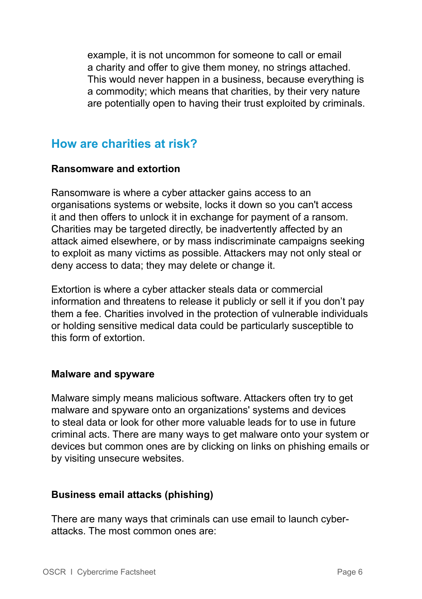example, it is not uncommon for someone to call or email a charity and offer to give them money, no strings attached. This would never happen in a business, because everything is a commodity; which means that charities, by their very nature are potentially open to having their trust exploited by criminals.

### **How are charities at risk?**

#### **Ransomware and extortion**

Ransomware is where a cyber attacker gains access to an organisations systems or website, locks it down so you can't access it and then offers to unlock it in exchange for payment of a ransom. Charities may be targeted directly, be inadvertently affected by an attack aimed elsewhere, or by mass indiscriminate campaigns seeking to exploit as many victims as possible. Attackers may not only steal or deny access to data; they may delete or change it.

Extortion is where a cyber attacker steals data or commercial information and threatens to release it publicly or sell it if you don't pay them a fee. Charities involved in the protection of vulnerable individuals or holding sensitive medical data could be particularly susceptible to this form of extortion.

#### **Malware and spyware**

Malware simply means malicious software. Attackers often try to get malware and spyware onto an organizations' systems and devices to steal data or look for other more valuable leads for to use in future criminal acts. There are many ways to get malware onto your system or devices but common ones are by clicking on links on phishing emails or by visiting unsecure websites.

#### **Business email attacks (phishing)**

There are many ways that criminals can use email to launch cyberattacks. The most common ones are: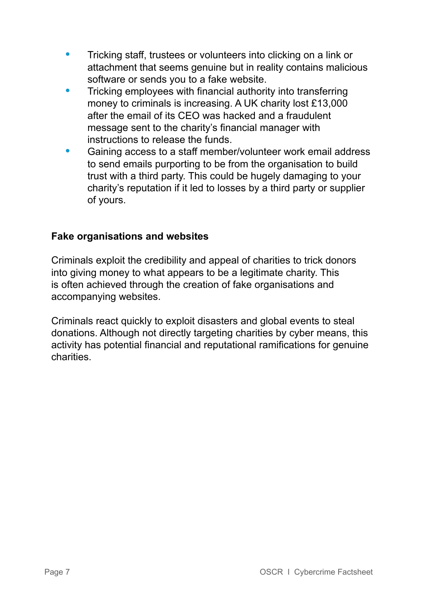- **•** Tricking staff, trustees or volunteers into clicking on a link or attachment that seems genuine but in reality contains malicious software or sends you to a fake website.
- **•** Tricking employees with financial authority into transferring money to criminals is increasing. A UK charity lost £13,000 after the email of its CEO was hacked and a fraudulent message sent to the charity's financial manager with instructions to release the funds.
- **•** Gaining access to a staff member/volunteer work email address to send emails purporting to be from the organisation to build trust with a third party. This could be hugely damaging to your charity's reputation if it led to losses by a third party or supplier of yours.

#### **Fake organisations and websites**

Criminals exploit the credibility and appeal of charities to trick donors into giving money to what appears to be a legitimate charity. This is often achieved through the creation of fake organisations and accompanying websites.

Criminals react quickly to exploit disasters and global events to steal donations. Although not directly targeting charities by cyber means, this activity has potential financial and reputational ramifications for genuine charities.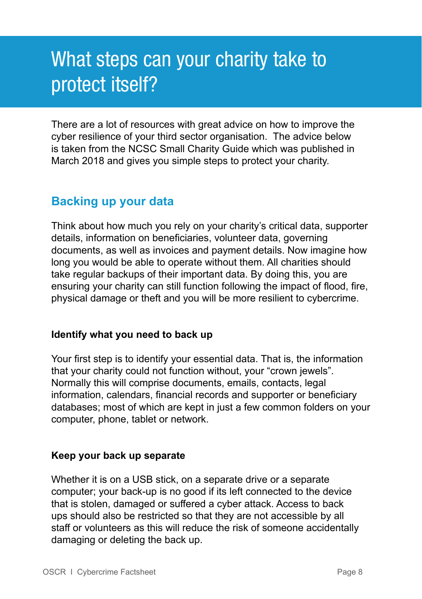# What steps can your charity take to protect itself?

There are a lot of resources with great advice on how to improve the cyber resilience of your third sector organisation. The advice below is taken from the NCSC Small Charity Guide which was published in March 2018 and gives you simple steps to protect your charity.

### **Backing up your data**

Think about how much you rely on your charity's critical data, supporter details, information on beneficiaries, volunteer data, governing documents, as well as invoices and payment details. Now imagine how long you would be able to operate without them. All charities should take regular backups of their important data. By doing this, you are ensuring your charity can still function following the impact of flood, fire, physical damage or theft and you will be more resilient to cybercrime.

#### **Identify what you need to back up**

Your first step is to identify your essential data. That is, the information that your charity could not function without, your "crown jewels". Normally this will comprise documents, emails, contacts, legal information, calendars, financial records and supporter or beneficiary databases; most of which are kept in just a few common folders on your computer, phone, tablet or network.

#### **Keep your back up separate**

Whether it is on a USB stick, on a separate drive or a separate computer; your back-up is no good if its left connected to the device that is stolen, damaged or suffered a cyber attack. Access to back ups should also be restricted so that they are not accessible by all staff or volunteers as this will reduce the risk of someone accidentally damaging or deleting the back up.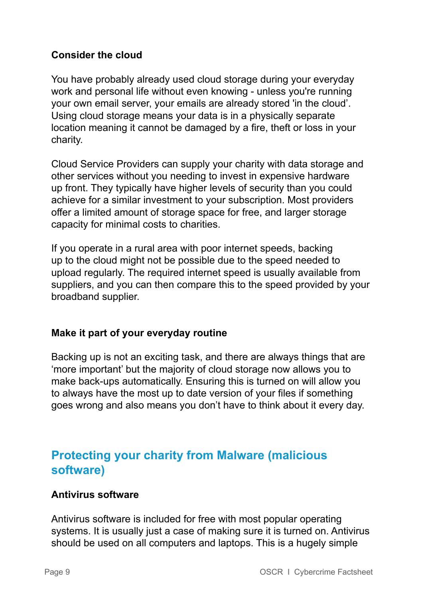#### **Consider the cloud**

You have probably already used cloud storage during your everyday work and personal life without even knowing - unless you're running your own email server, your emails are already stored 'in the cloud'. Using cloud storage means your data is in a physically separate location meaning it cannot be damaged by a fire, theft or loss in your charity.

Cloud Service Providers can supply your charity with data storage and other services without you needing to invest in expensive hardware up front. They typically have higher levels of security than you could achieve for a similar investment to your subscription. Most providers offer a limited amount of storage space for free, and larger storage capacity for minimal costs to charities.

If you operate in a rural area with poor internet speeds, backing up to the cloud might not be possible due to the speed needed to upload regularly. The required internet speed is usually available from suppliers, and you can then compare this to the speed provided by your broadband supplier.

#### **Make it part of your everyday routine**

Backing up is not an exciting task, and there are always things that are 'more important' but the majority of cloud storage now allows you to make back-ups automatically. Ensuring this is turned on will allow you to always have the most up to date version of your files if something goes wrong and also means you don't have to think about it every day.

# **Protecting your charity from Malware (malicious software)**

#### **Antivirus software**

Antivirus software is included for free with most popular operating systems. It is usually just a case of making sure it is turned on. Antivirus should be used on all computers and laptops. This is a hugely simple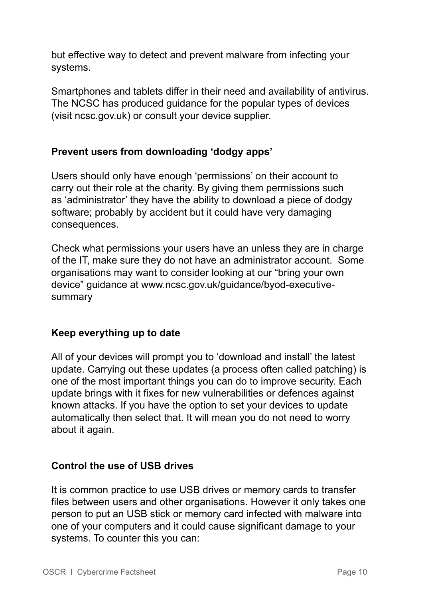but effective way to detect and prevent malware from infecting your systems.

Smartphones and tablets differ in their need and availability of antivirus. The NCSC has produced guidance for the popular types of devices (visit ncsc.gov.uk) or consult your device supplier.

#### **Prevent users from downloading 'dodgy apps'**

Users should only have enough 'permissions' on their account to carry out their role at the charity. By giving them permissions such as 'administrator' they have the ability to download a piece of dodgy software; probably by accident but it could have very damaging consequences.

Check what permissions your users have an unless they are in charge of the IT, make sure they do not have an administrator account. Some organisations may want to consider looking at our "bring your own device" guidance at www.ncsc.gov.uk/guidance/byod-executivesummary

#### **Keep everything up to date**

All of your devices will prompt you to 'download and install' the latest update. Carrying out these updates (a process often called patching) is one of the most important things you can do to improve security. Each update brings with it fixes for new vulnerabilities or defences against known attacks. If you have the option to set your devices to update automatically then select that. It will mean you do not need to worry about it again.

#### **Control the use of USB drives**

It is common practice to use USB drives or memory cards to transfer files between users and other organisations. However it only takes one person to put an USB stick or memory card infected with malware into one of your computers and it could cause significant damage to your systems. To counter this you can: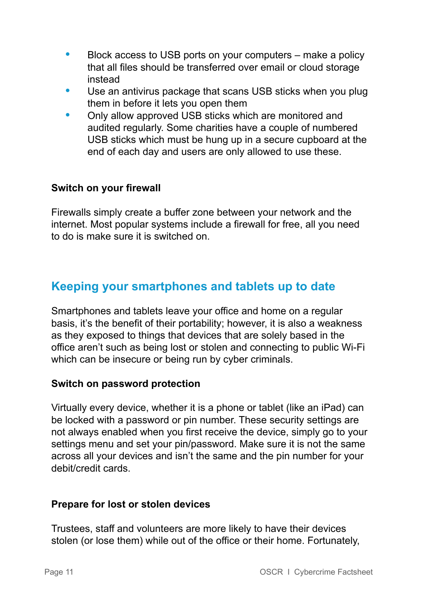- **•** Block access to USB ports on your computers make a policy that all files should be transferred over email or cloud storage instead
- **•** Use an antivirus package that scans USB sticks when you plug them in before it lets you open them
- **•** Only allow approved USB sticks which are monitored and audited regularly. Some charities have a couple of numbered USB sticks which must be hung up in a secure cupboard at the end of each day and users are only allowed to use these.

#### **Switch on your firewall**

Firewalls simply create a buffer zone between your network and the internet. Most popular systems include a firewall for free, all you need to do is make sure it is switched on.

### **Keeping your smartphones and tablets up to date**

Smartphones and tablets leave your office and home on a regular basis, it's the benefit of their portability; however, it is also a weakness as they exposed to things that devices that are solely based in the office aren't such as being lost or stolen and connecting to public Wi-Fi which can be insecure or being run by cyber criminals.

#### **Switch on password protection**

Virtually every device, whether it is a phone or tablet (like an iPad) can be locked with a password or pin number. These security settings are not always enabled when you first receive the device, simply go to your settings menu and set your pin/password. Make sure it is not the same across all your devices and isn't the same and the pin number for your debit/credit cards.

#### **Prepare for lost or stolen devices**

Trustees, staff and volunteers are more likely to have their devices stolen (or lose them) while out of the office or their home. Fortunately,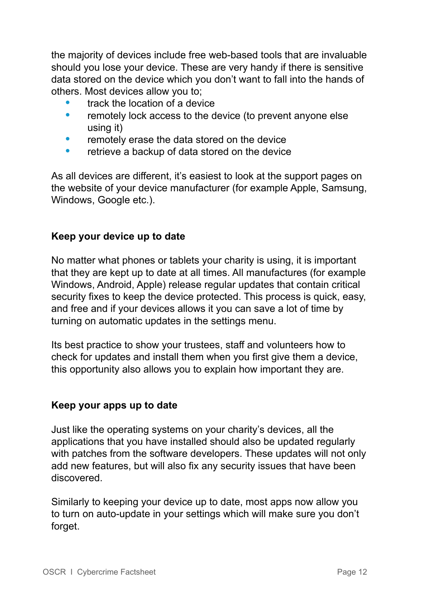the majority of devices include free web-based tools that are invaluable should you lose your device. These are very handy if there is sensitive data stored on the device which you don't want to fall into the hands of others. Most devices allow you to;

- **•** track the location of a device
- **•** remotely lock access to the device (to prevent anyone else using it)
- **•** remotely erase the data stored on the device
- **•** retrieve a backup of data stored on the device

As all devices are different, it's easiest to look at the support pages on the website of your device manufacturer (for example Apple, Samsung, Windows, Google etc.).

#### **Keep your device up to date**

No matter what phones or tablets your charity is using, it is important that they are kept up to date at all times. All manufactures (for example Windows, Android, Apple) release regular updates that contain critical security fixes to keep the device protected. This process is quick, easy, and free and if your devices allows it you can save a lot of time by turning on automatic updates in the settings menu.

Its best practice to show your trustees, staff and volunteers how to check for updates and install them when you first give them a device, this opportunity also allows you to explain how important they are.

#### **Keep your apps up to date**

Just like the operating systems on your charity's devices, all the applications that you have installed should also be updated regularly with patches from the software developers. These updates will not only add new features, but will also fix any security issues that have been discovered.

Similarly to keeping your device up to date, most apps now allow you to turn on auto-update in your settings which will make sure you don't forget.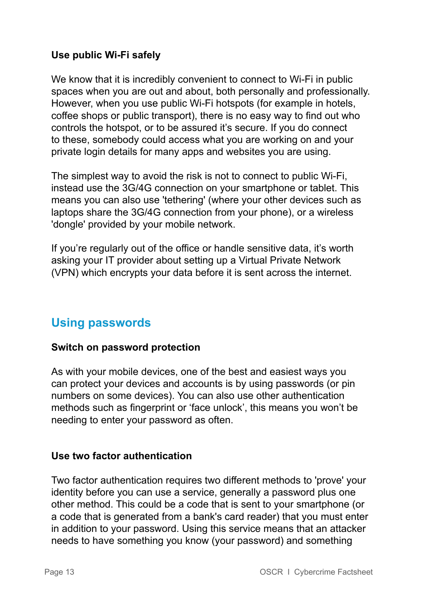#### **Use public Wi-Fi safely**

We know that it is incredibly convenient to connect to Wi-Fi in public spaces when you are out and about, both personally and professionally. However, when you use public Wi-Fi hotspots (for example in hotels, coffee shops or public transport), there is no easy way to find out who controls the hotspot, or to be assured it's secure. If you do connect to these, somebody could access what you are working on and your private login details for many apps and websites you are using.

The simplest way to avoid the risk is not to connect to public Wi-Fi, instead use the 3G/4G connection on your smartphone or tablet. This means you can also use 'tethering' (where your other devices such as laptops share the 3G/4G connection from your phone), or a wireless 'dongle' provided by your mobile network.

If you're regularly out of the office or handle sensitive data, it's worth asking your IT provider about setting up a Virtual Private Network (VPN) which encrypts your data before it is sent across the internet.

# **Using passwords**

#### **Switch on password protection**

As with your mobile devices, one of the best and easiest ways you can protect your devices and accounts is by using passwords (or pin numbers on some devices). You can also use other authentication methods such as fingerprint or 'face unlock', this means you won't be needing to enter your password as often.

#### **Use two factor authentication**

Two factor authentication requires two different methods to 'prove' your identity before you can use a service, generally a password plus one other method. This could be a code that is sent to your smartphone (or a code that is generated from a bank's card reader) that you must enter in addition to your password. Using this service means that an attacker needs to have something you know (your password) and something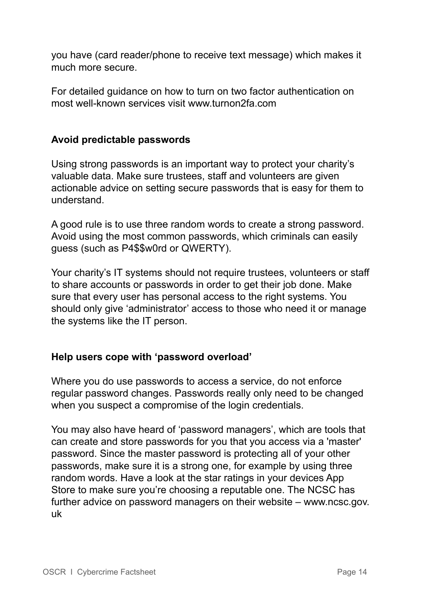you have (card reader/phone to receive text message) which makes it much more secure.

For detailed guidance on how to turn on two factor authentication on most well-known services visit www.turnon2fa.com

#### **Avoid predictable passwords**

Using strong passwords is an important way to protect your charity's valuable data. Make sure trustees, staff and volunteers are given actionable advice on setting secure passwords that is easy for them to understand.

A good rule is to use three random words to create a strong password. Avoid using the most common passwords, which criminals can easily guess (such as P4\$\$w0rd or QWERTY).

Your charity's IT systems should not require trustees, volunteers or staff to share accounts or passwords in order to get their job done. Make sure that every user has personal access to the right systems. You should only give 'administrator' access to those who need it or manage the systems like the IT person.

#### **Help users cope with 'password overload'**

Where you do use passwords to access a service, do not enforce regular password changes. Passwords really only need to be changed when you suspect a compromise of the login credentials.

You may also have heard of 'password managers', which are tools that can create and store passwords for you that you access via a 'master' password. Since the master password is protecting all of your other passwords, make sure it is a strong one, for example by using three random words. Have a look at the star ratings in your devices App Store to make sure you're choosing a reputable one. The NCSC has further advice on password managers on their website – www.ncsc.gov. uk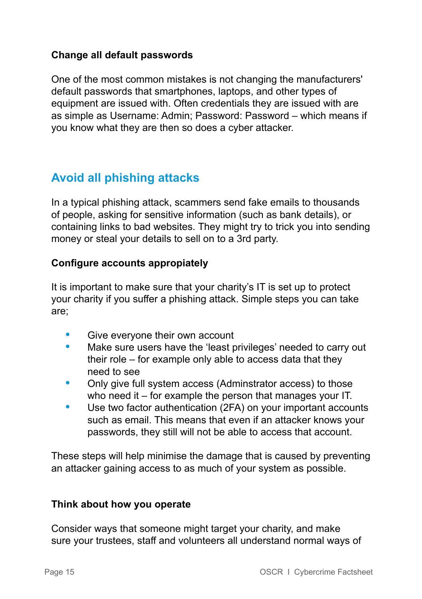#### **Change all default passwords**

One of the most common mistakes is not changing the manufacturers' default passwords that smartphones, laptops, and other types of equipment are issued with. Often credentials they are issued with are as simple as Username: Admin; Password: Password – which means if you know what they are then so does a cyber attacker.

# **Avoid all phishing attacks**

In a typical phishing attack, scammers send fake emails to thousands of people, asking for sensitive information (such as bank details), or containing links to bad websites. They might try to trick you into sending money or steal your details to sell on to a 3rd party.

#### **Configure accounts appropiately**

It is important to make sure that your charity's IT is set up to protect your charity if you suffer a phishing attack. Simple steps you can take are;

- **•** Give everyone their own account
- **•** Make sure users have the 'least privileges' needed to carry out their role – for example only able to access data that they need to see
- **•** Only give full system access (Adminstrator access) to those who need it – for example the person that manages your IT.
- **•** Use two factor authentication (2FA) on your important accounts such as email. This means that even if an attacker knows your passwords, they still will not be able to access that account.

These steps will help minimise the damage that is caused by preventing an attacker gaining access to as much of your system as possible.

#### **Think about how you operate**

Consider ways that someone might target your charity, and make sure your trustees, staff and volunteers all understand normal ways of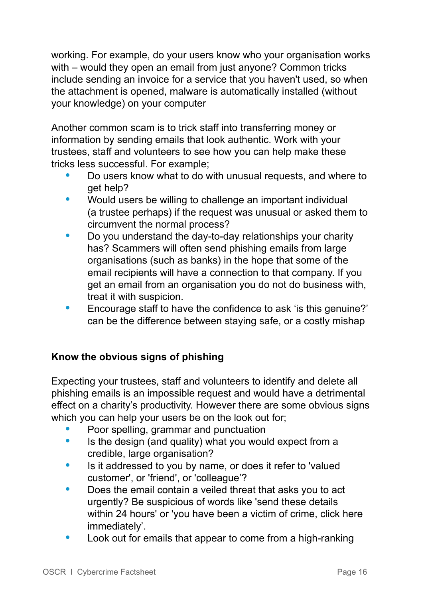working. For example, do your users know who your organisation works with – would they open an email from just anyone? Common tricks include sending an invoice for a service that you haven't used, so when the attachment is opened, malware is automatically installed (without your knowledge) on your computer

Another common scam is to trick staff into transferring money or information by sending emails that look authentic. Work with your trustees, staff and volunteers to see how you can help make these tricks less successful. For example;

- **•** Do users know what to do with unusual requests, and where to get help?
- **•** Would users be willing to challenge an important individual (a trustee perhaps) if the request was unusual or asked them to circumvent the normal process?
- **•** Do you understand the day-to-day relationships your charity has? Scammers will often send phishing emails from large organisations (such as banks) in the hope that some of the email recipients will have a connection to that company. If you get an email from an organisation you do not do business with, treat it with suspicion.
- Encourage staff to have the confidence to ask 'is this genuine?' can be the difference between staying safe, or a costly mishap

#### **Know the obvious signs of phishing**

Expecting your trustees, staff and volunteers to identify and delete all phishing emails is an impossible request and would have a detrimental effect on a charity's productivity. However there are some obvious signs which you can help your users be on the look out for;

- **•** Poor spelling, grammar and punctuation
- **•** Is the design (and quality) what you would expect from a credible, large organisation?
- **•** Is it addressed to you by name, or does it refer to 'valued customer', or 'friend', or 'colleague'?
- **•** Does the email contain a veiled threat that asks you to act urgently? Be suspicious of words like 'send these details within 24 hours' or 'you have been a victim of crime, click here immediately'.
- **•** Look out for emails that appear to come from a high-ranking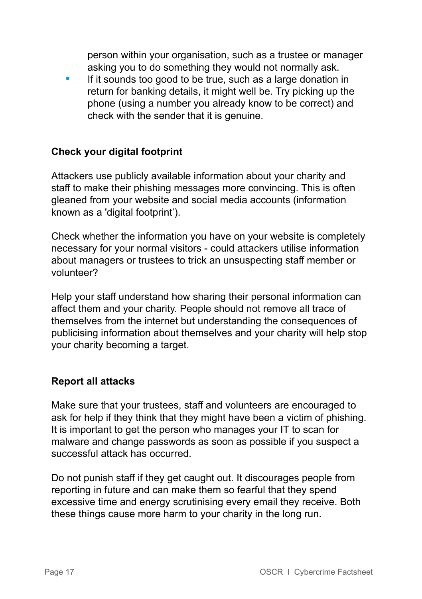person within your organisation, such as a trustee or manager asking you to do something they would not normally ask.

**•** If it sounds too good to be true, such as a large donation in return for banking details, it might well be. Try picking up the phone (using a number you already know to be correct) and check with the sender that it is genuine.

#### **Check your digital footprint**

Attackers use publicly available information about your charity and staff to make their phishing messages more convincing. This is often gleaned from your website and social media accounts (information known as a 'digital footprint').

Check whether the information you have on your website is completely necessary for your normal visitors - could attackers utilise information about managers or trustees to trick an unsuspecting staff member or volunteer?

Help your staff understand how sharing their personal information can affect them and your charity. People should not remove all trace of themselves from the internet but understanding the consequences of publicising information about themselves and your charity will help stop your charity becoming a target.

#### **Report all attacks**

Make sure that your trustees, staff and volunteers are encouraged to ask for help if they think that they might have been a victim of phishing. It is important to get the person who manages your IT to scan for malware and change passwords as soon as possible if you suspect a successful attack has occurred.

Do not punish staff if they get caught out. It discourages people from reporting in future and can make them so fearful that they spend excessive time and energy scrutinising every email they receive. Both these things cause more harm to your charity in the long run.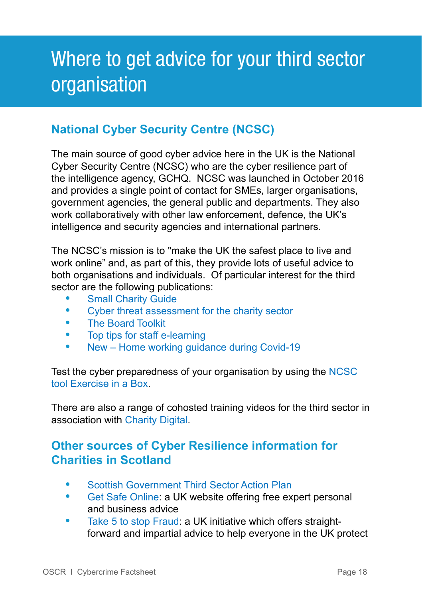# Where to get advice for your third sector organisation

# **National Cyber Security Centre (NCSC)**

The main source of good cyber advice here in the UK is the National Cyber Security Centre (NCSC) who are the cyber resilience part of the intelligence agency, GCHQ. NCSC was launched in October 2016 and provides a single point of contact for SMEs, larger organisations, government agencies, the general public and departments. They also work collaboratively with other law enforcement, defence, the UK's intelligence and security agencies and international partners.

The NCSC's mission is to "make the UK the safest place to live and work online" and, as part of this, they provide lots of useful advice to both organisations and individuals. Of particular interest for the third sector are the following publications:

- [Small Charity Guide](https://www.ncsc.gov.uk/collection/charity)<br>• Cyber threat assess
- **•** [Cyber threat assessment for the charity sector](https://www.ncsc.gov.uk/collection/charity/cyber-threat-assessment-uk-charity-sector)
- **•** [The Board Toolkit](https://www.ncsc.gov.uk/collection/board-toolkit)
- **•** Top tips for staff [e-learning](https://www.ncsc.gov.uk/training/StaySafeOnline_web/index.html#/menu/5f215cc1006d2436a3b6c5e2)
- **•** New Home working [guidance](https://www.ncsc.gov.uk/guidance/moving-business-from-physical-to-digital) during Covid-19

Test the cyber preparedness of your organisation by using the [NCSC](https://www.ncsc.gov.uk/information/exercise-in-a-box)  [tool Exercise in a Box](https://www.ncsc.gov.uk/information/exercise-in-a-box).

There are also a range of cohosted training videos for the third sector in association with [Charity Digital.](https://charitydigital.org.uk/)

# **Other sources of Cyber Resilience information for Charities in Scotland**

- **•** [Scottish Government Third Sector Action Plan](https://www.gov.scot/publications/third-sector-action-plan-cyber-resilience-2018-20/)
- **•** [Get Safe Online](https://www.getsafeonline.org/): a UK website offering free expert personal and business advice
- **•** [Take 5 to stop Fraud](https://takefive-stopfraud.org.uk/): a UK initiative which offers straight forward and impartial advice to help everyone in the UK protect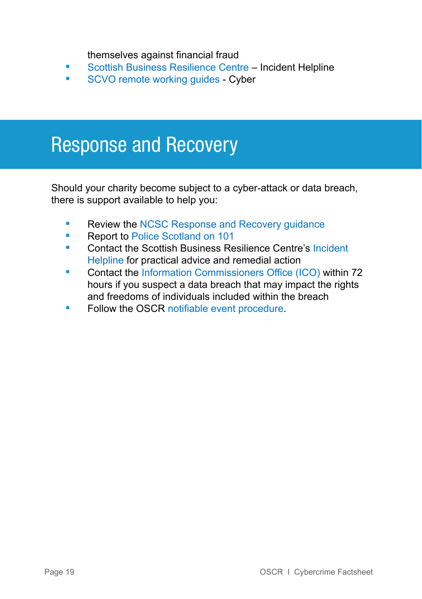themselves against financial fraud

- **•** [Scottish Business Resilience Centre](https://www.sbrcentre.co.uk/prevent-protect/cyber-services/incident-response) Incident Helpline
- **•** [SCVO remote working guides](https://scvo.org.uk/support/digital/guides/remote-working/cyber-security)  Cyber

# Response and Recovery

Should your charity become subject to a cyber-attack or data breach, there is support available to help you:

- **•** Review the [NCSC Response and Recovery guidance](https://www.ncsc.gov.uk/collection/small-business-guidance--response-and-recovery)
- **•** Report to [Police Scotland on 101](https://www.scotland.police.uk/contact-us/report-cybercrime)
- **•** Contact the Scottish Business Resilience Centre's [Incident](https://www.sbrcentre.co.uk/prevent-protect/cyber-services/incident-response)   [Helpline](https://www.sbrcentre.co.uk/prevent-protect/cyber-services/incident-response) for practical advice and remedial action
- **•** Contact the Information [Commissioners](https://ico.org.uk/) Office (ICO) within 72 hours if you suspect a data breach that may impact the rights and freedoms of individuals included within the breach
- **•** Follow the OSCR notifiable event [procedure](https://www.oscr.org.uk/guidance-and-forms/managing-a-charity-guidance/notifiable-events-guidance/).